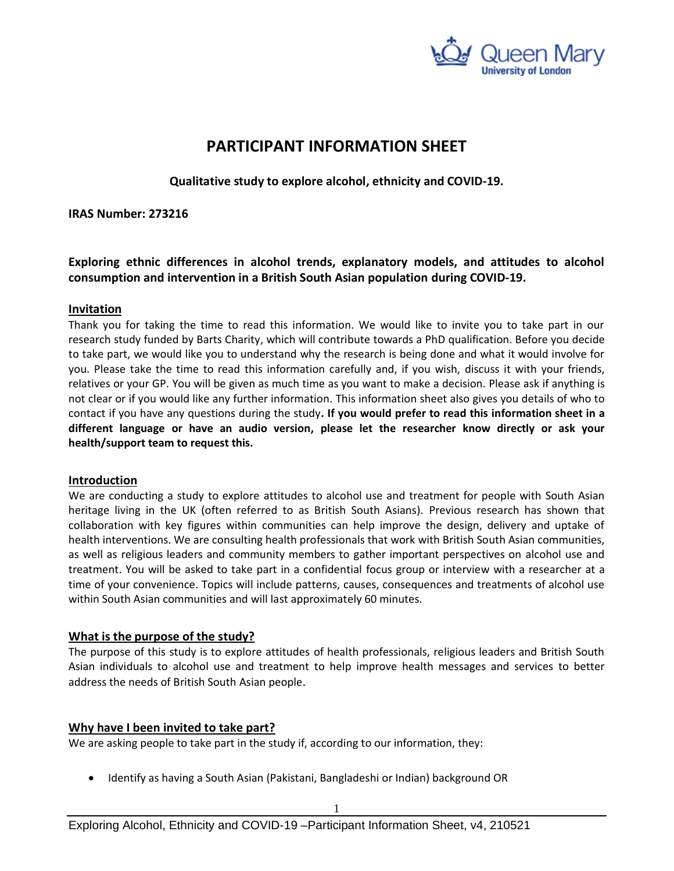

# **PARTICIPANT INFORMATION SHEET**

**Qualitative study to explore alcohol, ethnicity and COVID-19.**

**IRAS Number: 273216**

**Exploring ethnic differences in alcohol trends, explanatory models, and attitudes to alcohol consumption and intervention in a British South Asian population during COVID-19.**

## **Invitation**

Thank you for taking the time to read this information. We would like to invite you to take part in our research study funded by Barts Charity, which will contribute towards a PhD qualification. Before you decide to take part, we would like you to understand why the research is being done and what it would involve for you. Please take the time to read this information carefully and, if you wish, discuss it with your friends, relatives or your GP. You will be given as much time as you want to make a decision. Please ask if anything is not clear or if you would like any further information. This information sheet also gives you details of who to contact if you have any questions during the study**. If you would prefer to read this information sheet in a different language or have an audio version, please let the researcher know directly or ask your health/support team to request this.** 

# **Introduction**

We are conducting a study to explore attitudes to alcohol use and treatment for people with South Asian heritage living in the UK (often referred to as British South Asians). Previous research has shown that collaboration with key figures within communities can help improve the design, delivery and uptake of health interventions. We are consulting health professionals that work with British South Asian communities, as well as religious leaders and community members to gather important perspectives on alcohol use and treatment. You will be asked to take part in a confidential focus group or interview with a researcher at a time of your convenience. Topics will include patterns, causes, consequences and treatments of alcohol use within South Asian communities and will last approximately 60 minutes.

# **What is the purpose of the study?**

The purpose of this study is to explore attitudes of health professionals, religious leaders and British South Asian individuals to alcohol use and treatment to help improve health messages and services to better address the needs of British South Asian people.

# **Why have I been invited to take part?**

We are asking people to take part in the study if, according to our information, they:

• Identify as having a South Asian (Pakistani, Bangladeshi or Indian) background OR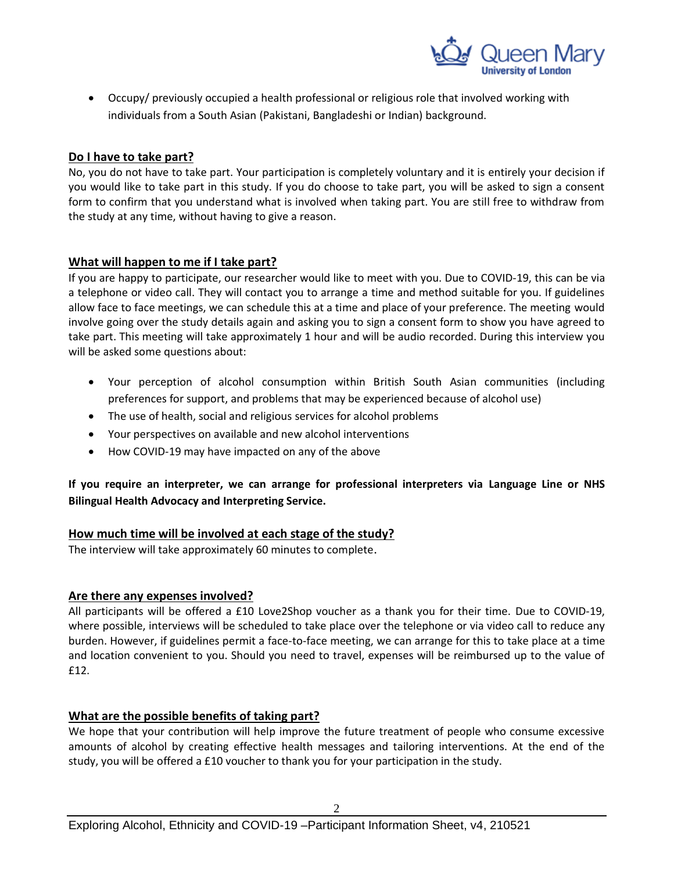

• Occupy/ previously occupied a health professional or religious role that involved working with individuals from a South Asian (Pakistani, Bangladeshi or Indian) background.

## **Do I have to take part?**

No, you do not have to take part. Your participation is completely voluntary and it is entirely your decision if you would like to take part in this study. If you do choose to take part, you will be asked to sign a consent form to confirm that you understand what is involved when taking part. You are still free to withdraw from the study at any time, without having to give a reason.

## **What will happen to me if I take part?**

If you are happy to participate, our researcher would like to meet with you. Due to COVID-19, this can be via a telephone or video call. They will contact you to arrange a time and method suitable for you. If guidelines allow face to face meetings, we can schedule this at a time and place of your preference. The meeting would involve going over the study details again and asking you to sign a consent form to show you have agreed to take part. This meeting will take approximately 1 hour and will be audio recorded. During this interview you will be asked some questions about:

- Your perception of alcohol consumption within British South Asian communities (including preferences for support, and problems that may be experienced because of alcohol use)
- The use of health, social and religious services for alcohol problems
- Your perspectives on available and new alcohol interventions
- How COVID-19 may have impacted on any of the above

**If you require an interpreter, we can arrange for professional interpreters via Language Line or NHS Bilingual Health Advocacy and Interpreting Service.**

#### **How much time will be involved at each stage of the study?**

The interview will take approximately 60 minutes to complete.

#### **Are there any expenses involved?**

All participants will be offered a £10 Love2Shop voucher as a thank you for their time. Due to COVID-19, where possible, interviews will be scheduled to take place over the telephone or via video call to reduce any burden. However, if guidelines permit a face-to-face meeting, we can arrange for this to take place at a time and location convenient to you. Should you need to travel, expenses will be reimbursed up to the value of £12.

# **What are the possible benefits of taking part?**

We hope that your contribution will help improve the future treatment of people who consume excessive amounts of alcohol by creating effective health messages and tailoring interventions. At the end of the study, you will be offered a £10 voucher to thank you for your participation in the study.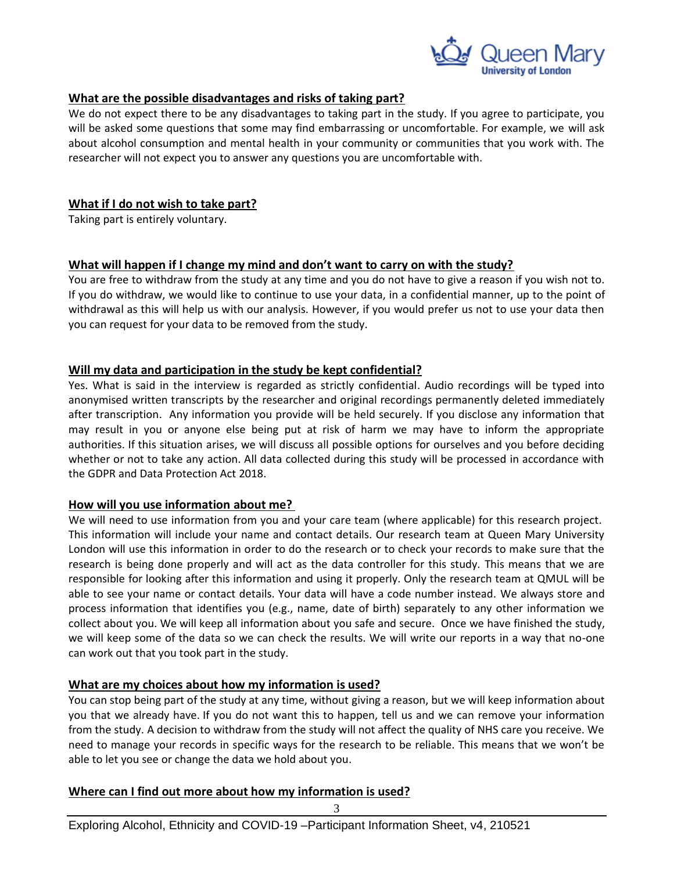

## **What are the possible disadvantages and risks of taking part?**

We do not expect there to be any disadvantages to taking part in the study. If you agree to participate, you will be asked some questions that some may find embarrassing or uncomfortable. For example, we will ask about alcohol consumption and mental health in your community or communities that you work with. The researcher will not expect you to answer any questions you are uncomfortable with.

## **What if I do not wish to take part?**

Taking part is entirely voluntary.

## **What will happen if I change my mind and don't want to carry on with the study?**

You are free to withdraw from the study at any time and you do not have to give a reason if you wish not to. If you do withdraw, we would like to continue to use your data, in a confidential manner, up to the point of withdrawal as this will help us with our analysis. However, if you would prefer us not to use your data then you can request for your data to be removed from the study.

# **Will my data and participation in the study be kept confidential?**

Yes. What is said in the interview is regarded as strictly confidential. Audio recordings will be typed into anonymised written transcripts by the researcher and original recordings permanently deleted immediately after transcription. Any information you provide will be held securely. If you disclose any information that may result in you or anyone else being put at risk of harm we may have to inform the appropriate authorities. If this situation arises, we will discuss all possible options for ourselves and you before deciding whether or not to take any action. All data collected during this study will be processed in accordance with the GDPR and Data Protection Act 2018.

#### **How will you use information about me?**

We will need to use information from you and your care team (where applicable) for this research project. This information will include your name and contact details. Our research team at Queen Mary University London will use this information in order to do the research or to check your records to make sure that the research is being done properly and will act as the data controller for this study. This means that we are responsible for looking after this information and using it properly. Only the research team at QMUL will be able to see your name or contact details. Your data will have a code number instead. We always store and process information that identifies you (e.g., name, date of birth) separately to any other information we collect about you. We will keep all information about you safe and secure. Once we have finished the study, we will keep some of the data so we can check the results. We will write our reports in a way that no-one can work out that you took part in the study.

# **What are my choices about how my information is used?**

You can stop being part of the study at any time, without giving a reason, but we will keep information about you that we already have. If you do not want this to happen, tell us and we can remove your information from the study. A decision to withdraw from the study will not affect the quality of NHS care you receive. We need to manage your records in specific ways for the research to be reliable. This means that we won't be able to let you see or change the data we hold about you.

# **Where can I find out more about how my information is used?**

3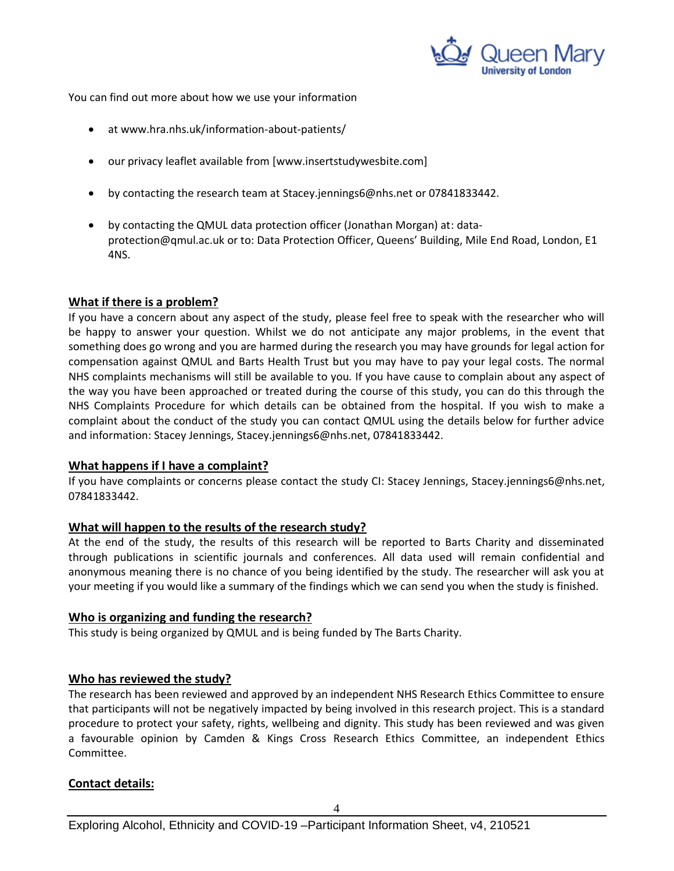

You can find out more about how we use your information

- at [www.hra.nhs.uk/information-about-patients/](https://www.hra.nhs.uk/information-about-patients/)
- our privacy leaflet available from [www.insertstudywesbite.com]
- by contacting the research team at Stacey.jennings6@nhs.net or 07841833442.
- by contacting the QMUL data protection officer (Jonathan Morgan) at: [data](mailto:data-protection@qmul.ac.uk)[protection@qmul.ac.uk](mailto:data-protection@qmul.ac.uk) or to: Data Protection Officer, Queens' Building, Mile End Road, London, E1 4NS.

## **What if there is a problem?**

If you have a concern about any aspect of the study, please feel free to speak with the researcher who will be happy to answer your question. Whilst we do not anticipate any major problems, in the event that something does go wrong and you are harmed during the research you may have grounds for legal action for compensation against QMUL and Barts Health Trust but you may have to pay your legal costs. The normal NHS complaints mechanisms will still be available to you. If you have cause to complain about any aspect of the way you have been approached or treated during the course of this study, you can do this through the NHS Complaints Procedure for which details can be obtained from the hospital. If you wish to make a complaint about the conduct of the study you can contact QMUL using the details below for further advice and information: Stacey Jennings, Stacey.jennings6@nhs.net, 07841833442.

#### **What happens if I have a complaint?**

If you have complaints or concerns please contact the study CI: Stacey Jennings, Stacey.jennings6@nhs.net, 07841833442.

#### **What will happen to the results of the research study?**

At the end of the study, the results of this research will be reported to Barts Charity and disseminated through publications in scientific journals and conferences. All data used will remain confidential and anonymous meaning there is no chance of you being identified by the study. The researcher will ask you at your meeting if you would like a summary of the findings which we can send you when the study is finished.

#### **Who is organizing and funding the research?**

This study is being organized by QMUL and is being funded by The Barts Charity.

#### **Who has reviewed the study?**

The research has been reviewed and approved by an independent NHS Research Ethics Committee to ensure that participants will not be negatively impacted by being involved in this research project. This is a standard procedure to protect your safety, rights, wellbeing and dignity. This study has been reviewed and was given a favourable opinion by Camden & Kings Cross Research Ethics Committee, an independent Ethics Committee.

# **Contact details:**